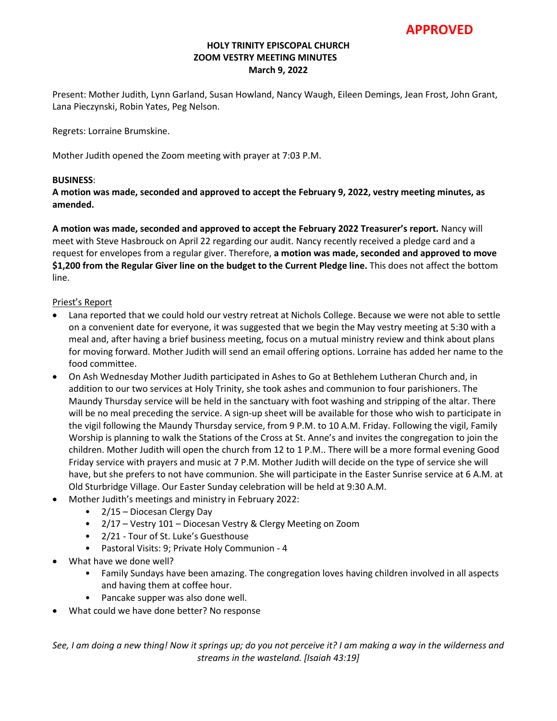**APPROVED**

## **HOLY TRINITY EPISCOPAL CHURCH ZOOM VESTRY MEETING MINUTES March 9, 2022**

Present: Mother Judith, Lynn Garland, Susan Howland, Nancy Waugh, Eileen Demings, Jean Frost, John Grant, Lana Pieczynski, Robin Yates, Peg Nelson.

Regrets: Lorraine Brumskine.

Mother Judith opened the Zoom meeting with prayer at 7:03 P.M.

## **BUSINESS**:

**A motion was made, seconded and approved to accept the February 9, 2022, vestry meeting minutes, as amended.** 

**A motion was made, seconded and approved to accept the February 2022 Treasurer's report.** Nancy will meet with Steve Hasbrouck on April 22 regarding our audit. Nancy recently received a pledge card and a request for envelopes from a regular giver. Therefore, **a motion was made, seconded and approved to move \$1,200 from the Regular Giver line on the budget to the Current Pledge line.** This does not affect the bottom line.

### Priest's Report

- Lana reported that we could hold our vestry retreat at Nichols College. Because we were not able to settle on a convenient date for everyone, it was suggested that we begin the May vestry meeting at 5:30 with a meal and, after having a brief business meeting, focus on a mutual ministry review and think about plans for moving forward. Mother Judith will send an email offering options. Lorraine has added her name to the food committee.
- On Ash Wednesday Mother Judith participated in Ashes to Go at Bethlehem Lutheran Church and, in addition to our two services at Holy Trinity, she took ashes and communion to four parishioners. The Maundy Thursday service will be held in the sanctuary with foot washing and stripping of the altar. There will be no meal preceding the service. A sign-up sheet will be available for those who wish to participate in the vigil following the Maundy Thursday service, from 9 P.M. to 10 A.M. Friday. Following the vigil, Family Worship is planning to walk the Stations of the Cross at St. Anne's and invites the congregation to join the children. Mother Judith will open the church from 12 to 1 P.M.. There will be a more formal evening Good Friday service with prayers and music at 7 P.M. Mother Judith will decide on the type of service she will have, but she prefers to not have communion. She will participate in the Easter Sunrise service at 6 A.M. at Old Sturbridge Village. Our Easter Sunday celebration will be held at 9:30 A.M.
- Mother Judith's meetings and ministry in February 2022:
	- 2/15 Diocesan Clergy Day
	- 2/17 Vestry 101 Diocesan Vestry & Clergy Meeting on Zoom
	- 2/21 Tour of St. Luke's Guesthouse
	- Pastoral Visits: 9; Private Holy Communion 4
- What have we done well?
	- Family Sundays have been amazing. The congregation loves having children involved in all aspects and having them at coffee hour.
	- Pancake supper was also done well.
- What could we have done better? No response

*See, I am doing a new thing! Now it springs up; do you not perceive it? I am making a way in the wilderness and streams in the wasteland. [Isaiah 43:19]*